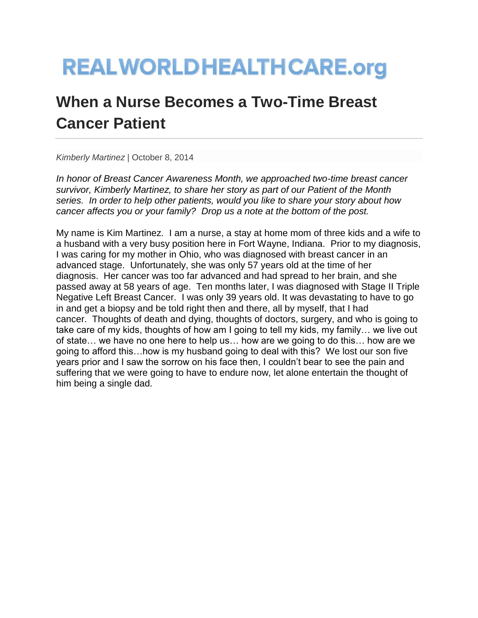## **REALWORLDHEALTHCARE.org**

## **When a Nurse Becomes a Two-Time Breast Cancer Patient**

*Kimberly Martinez* | October 8, 2014

*In honor of Breast Cancer Awareness Month, we approached two-time breast cancer survivor, Kimberly Martinez, to share her story as part of our Patient of the Month series. In order to help other patients, would you like to share your story about how cancer affects you or your family? Drop us a note at the bottom of the post.*

My name is Kim Martinez. I am a nurse, a stay at home mom of three kids and a wife to a husband with a very busy position here in Fort Wayne, Indiana. Prior to my diagnosis, I was caring for my mother in Ohio, who was diagnosed with breast cancer in an advanced stage. Unfortunately, she was only 57 years old at the time of her diagnosis. Her cancer was too far advanced and had spread to her brain, and she passed away at 58 years of age. Ten months later, I was diagnosed with Stage II Triple Negative Left Breast Cancer. I was only 39 years old. It was devastating to have to go in and get a biopsy and be told right then and there, all by myself, that I had cancer. Thoughts of death and dying, thoughts of doctors, surgery, and who is going to take care of my kids, thoughts of how am I going to tell my kids, my family… we live out of state… we have no one here to help us… how are we going to do this… how are we going to afford this…how is my husband going to deal with this? We lost our son five years prior and I saw the sorrow on his face then, I couldn't bear to see the pain and suffering that we were going to have to endure now, let alone entertain the thought of him being a single dad.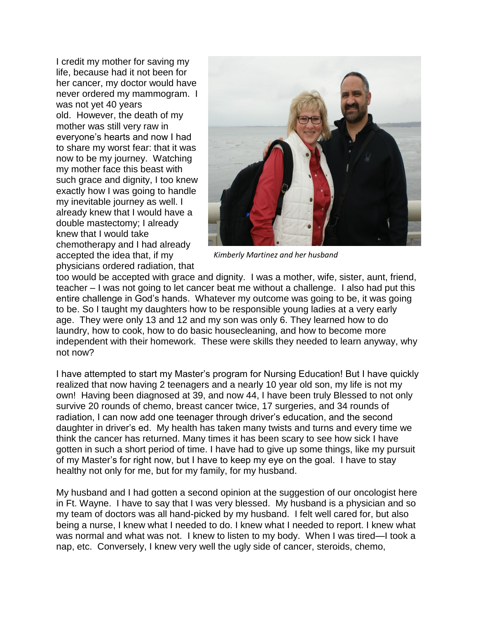I credit my mother for saving my life, because had it not been for her cancer, my doctor would have never ordered my mammogram. I was not yet 40 years old. However, the death of my mother was still very raw in everyone's hearts and now I had to share my worst fear: that it was now to be my journey. Watching my mother face this beast with such grace and dignity, I too knew exactly how I was going to handle my inevitable journey as well. I already knew that I would have a double mastectomy; I already knew that I would take chemotherapy and I had already accepted the idea that, if my physicians ordered radiation, that



*Kimberly Martinez and her husband*

too would be accepted with grace and dignity. I was a mother, wife, sister, aunt, friend, teacher – I was not going to let cancer beat me without a challenge. I also had put this entire challenge in God's hands. Whatever my outcome was going to be, it was going to be. So I taught my daughters how to be responsible young ladies at a very early age. They were only 13 and 12 and my son was only 6. They learned how to do laundry, how to cook, how to do basic housecleaning, and how to become more independent with their homework. These were skills they needed to learn anyway, why not now?

I have attempted to start my Master's program for Nursing Education! But I have quickly realized that now having 2 teenagers and a nearly 10 year old son, my life is not my own! Having been diagnosed at 39, and now 44, I have been truly Blessed to not only survive 20 rounds of chemo, breast cancer twice, 17 surgeries, and 34 rounds of radiation, I can now add one teenager through driver's education, and the second daughter in driver's ed. My health has taken many twists and turns and every time we think the cancer has returned. Many times it has been scary to see how sick I have gotten in such a short period of time. I have had to give up some things, like my pursuit of my Master's for right now, but I have to keep my eye on the goal. I have to stay healthy not only for me, but for my family, for my husband.

My husband and I had gotten a second opinion at the suggestion of our oncologist here in Ft. Wayne. I have to say that I was very blessed. My husband is a physician and so my team of doctors was all hand-picked by my husband. I felt well cared for, but also being a nurse, I knew what I needed to do. I knew what I needed to report. I knew what was normal and what was not. I knew to listen to my body. When I was tired—I took a nap, etc. Conversely, I knew very well the ugly side of cancer, steroids, chemo,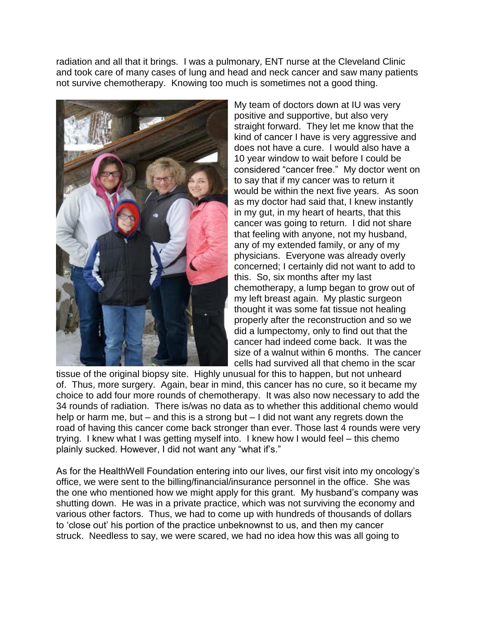radiation and all that it brings. I was a pulmonary, ENT nurse at the Cleveland Clinic and took care of many cases of lung and head and neck cancer and saw many patients not survive chemotherapy. Knowing too much is sometimes not a good thing.



My team of doctors down at IU was very positive and supportive, but also very straight forward. They let me know that the kind of cancer I have is very aggressive and does not have a cure. I would also have a 10 year window to wait before I could be considered "cancer free." My doctor went on to say that if my cancer was to return it would be within the next five years. As soon as my doctor had said that, I knew instantly in my gut, in my heart of hearts, that this cancer was going to return. I did not share that feeling with anyone, not my husband, any of my extended family, or any of my physicians. Everyone was already overly concerned; I certainly did not want to add to this. So, six months after my last chemotherapy, a lump began to grow out of my left breast again. My plastic surgeon thought it was some fat tissue not healing properly after the reconstruction and so we did a lumpectomy, only to find out that the cancer had indeed come back. It was the size of a walnut within 6 months. The cancer cells had survived all that chemo in the scar

tissue of the original biopsy site. Highly unusual for this to happen, but not unheard of. Thus, more surgery. Again, bear in mind, this cancer has no cure, so it became my choice to add four more rounds of chemotherapy. It was also now necessary to add the 34 rounds of radiation. There is/was no data as to whether this additional chemo would help or harm me, but – and this is a strong but – I did not want any regrets down the road of having this cancer come back stronger than ever. Those last 4 rounds were very trying. I knew what I was getting myself into. I knew how I would feel – this chemo plainly sucked. However, I did not want any "what if's."

As for the HealthWell Foundation entering into our lives, our first visit into my oncology's office, we were sent to the billing/financial/insurance personnel in the office. She was the one who mentioned how we might apply for this grant. My husband's company was shutting down. He was in a private practice, which was not surviving the economy and various other factors. Thus, we had to come up with hundreds of thousands of dollars to 'close out' his portion of the practice unbeknownst to us, and then my cancer struck. Needless to say, we were scared, we had no idea how this was all going to